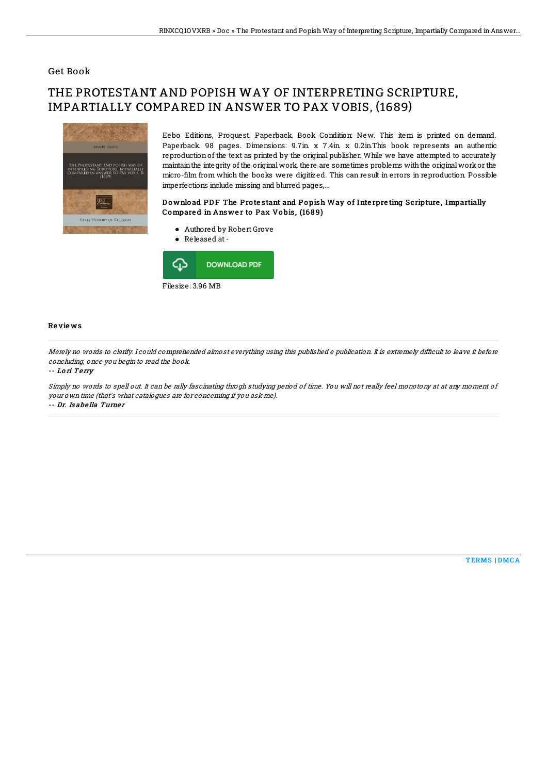## Get Book

# THE PROTESTANT AND POPISH WAY OF INTERPRETING SCRIPTURE, IMPARTIALLY COMPARED IN ANSWER TO PAX VOBIS, (1689)



Eebo Editions, Proquest. Paperback. Book Condition: New. This item is printed on demand. Paperback 98 pages. Dimensions: 9.7in x 7.4in x 0.2in.This book represents an authentic reproduction of the text as printed by the original publisher. While we have attempted to accurately maintainthe integrity of the originalwork, there are sometimes problems withthe originalworkor the micro-6lm from which the books were digitized. This can result in errors in reproduction. Possible imperfections include missing and blurred pages,...

### Download PDF The Protestant and Popish Way of Interpreting Scripture, Impartially Compared in Answer to Pax Vobis, (1689)

- Authored by Robert Grove
- Released at-



#### Re vie ws

Merely no words to clarify. I could comprehended almost everything using this published <sup>e</sup> publication. It is extremely dif6cult to leave it before concluding, once you begin to read the book.

#### -- Lo ri Te rry

Simply no words to spell out. It can be rally fascinating throgh studying period of time. You will not really feel monotony at at any moment of your own time (that's what catalogues are for concerning if you ask me). -- Dr. Is abe lla Turne <sup>r</sup>